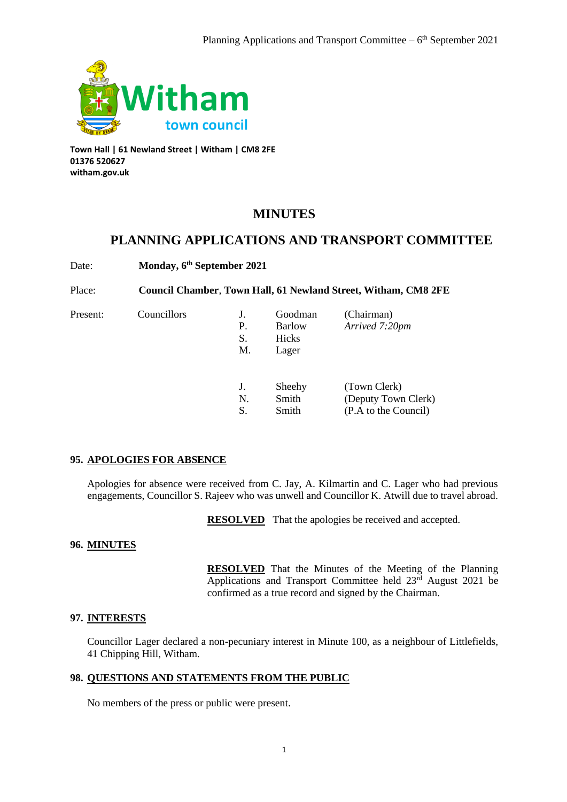

**Town Hall | 61 Newland Street | Witham | CM8 2FE 01376 520627 witham.gov.uk**

# **MINUTES**

## **PLANNING APPLICATIONS AND TRANSPORT COMMITTEE**

Date: **Monday, 6th September 2021**

Place: **Council Chamber**, **Town Hall, 61 Newland Street, Witham, CM8 2FE**

| Present: | Councillors | J.<br>Р.<br>S.<br>M. | Goodman<br>Barlow<br>Hicks<br>Lager | (Chairman)<br>Arrived 7:20pm                                |
|----------|-------------|----------------------|-------------------------------------|-------------------------------------------------------------|
|          |             | J.<br>N.<br>S.       | Sheehy<br>Smith<br>Smith            | (Town Clerk)<br>(Deputy Town Clerk)<br>(P.A to the Council) |

### **95. APOLOGIES FOR ABSENCE**

Apologies for absence were received from C. Jay, A. Kilmartin and C. Lager who had previous engagements, Councillor S. Rajeev who was unwell and Councillor K. Atwill due to travel abroad.

**RESOLVED** That the apologies be received and accepted.

### **96. MINUTES**

**RESOLVED** That the Minutes of the Meeting of the Planning Applications and Transport Committee held 23<sup>rd</sup> August 2021 be confirmed as a true record and signed by the Chairman.

### **97. INTERESTS**

Councillor Lager declared a non-pecuniary interest in Minute 100, as a neighbour of Littlefields, 41 Chipping Hill, Witham.

### **98. QUESTIONS AND STATEMENTS FROM THE PUBLIC**

No members of the press or public were present.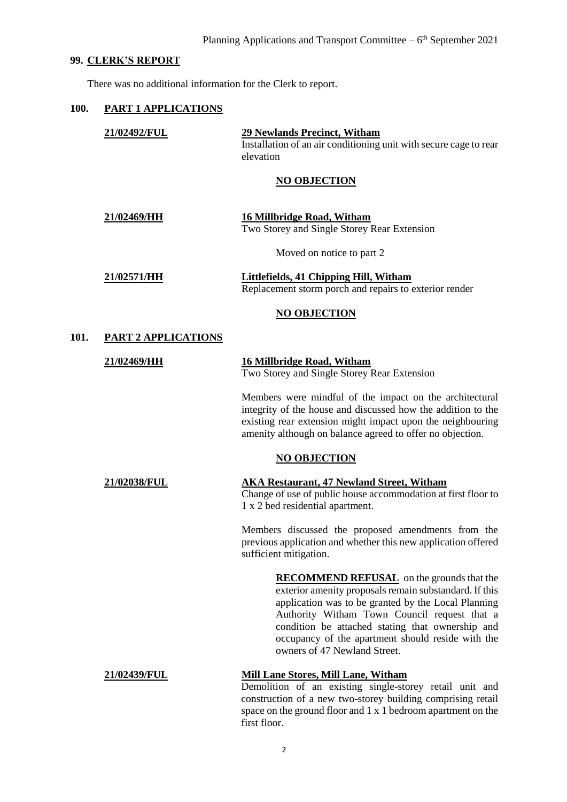### **99. CLERK'S REPORT**

There was no additional information for the Clerk to report.

### **100. PART 1 APPLICATIONS**

|      | 21/02492/FUL               | <b>29 Newlands Precinct, Witham</b><br>Installation of an air conditioning unit with secure cage to rear<br>elevation                                                                                                                                                                                                                                      |
|------|----------------------------|------------------------------------------------------------------------------------------------------------------------------------------------------------------------------------------------------------------------------------------------------------------------------------------------------------------------------------------------------------|
|      |                            | <b>NO OBJECTION</b>                                                                                                                                                                                                                                                                                                                                        |
|      | 21/02469/HH                | <b>16 Millbridge Road, Witham</b><br>Two Storey and Single Storey Rear Extension                                                                                                                                                                                                                                                                           |
|      |                            | Moved on notice to part 2                                                                                                                                                                                                                                                                                                                                  |
|      | 21/02571/HH                | <b>Littlefields, 41 Chipping Hill, Witham</b><br>Replacement storm porch and repairs to exterior render                                                                                                                                                                                                                                                    |
|      |                            | <b>NO OBJECTION</b>                                                                                                                                                                                                                                                                                                                                        |
| 101. | <b>PART 2 APPLICATIONS</b> |                                                                                                                                                                                                                                                                                                                                                            |
|      | 21/02469/HH                | <b>16 Millbridge Road, Witham</b><br>Two Storey and Single Storey Rear Extension                                                                                                                                                                                                                                                                           |
|      |                            | Members were mindful of the impact on the architectural<br>integrity of the house and discussed how the addition to the<br>existing rear extension might impact upon the neighbouring<br>amenity although on balance agreed to offer no objection.                                                                                                         |
|      |                            | <b>NO OBJECTION</b>                                                                                                                                                                                                                                                                                                                                        |
|      | 21/02038/FUL               | <b>AKA Restaurant, 47 Newland Street, Witham</b><br>Change of use of public house accommodation at first floor to<br>1 x 2 bed residential apartment.                                                                                                                                                                                                      |
|      |                            | Members discussed the proposed amendments from the<br>previous application and whether this new application offered<br>sufficient mitigation.                                                                                                                                                                                                              |
|      |                            | <b>RECOMMEND REFUSAL</b> on the grounds that the<br>exterior amenity proposals remain substandard. If this<br>application was to be granted by the Local Planning<br>Authority Witham Town Council request that a<br>condition be attached stating that ownership and<br>occupancy of the apartment should reside with the<br>owners of 47 Newland Street. |
|      | <u>21/02439/FUL</u>        | <b>Mill Lane Stores, Mill Lane, Witham</b><br>Demolition of an existing single-storey retail unit and<br>construction of a new two-storey building comprising retail<br>space on the ground floor and 1 x 1 bedroom apartment on the                                                                                                                       |

first floor.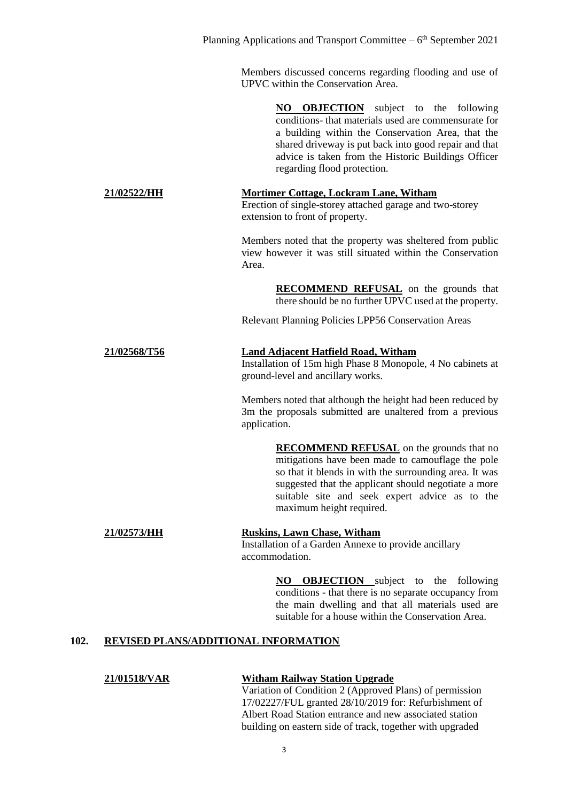Members discussed concerns regarding flooding and use of UPVC within the Conservation Area.

> **NO OBJECTION** subject to the following conditions- that materials used are commensurate for a building within the Conservation Area, that the shared driveway is put back into good repair and that advice is taken from the Historic Buildings Officer regarding flood protection.

#### **21/02522/HH Mortimer Cottage, Lockram Lane, Witham** Erection of single-storey attached garage and two-storey extension to front of property.

Members noted that the property was sheltered from public view however it was still situated within the Conservation Area.

> **RECOMMEND REFUSAL** on the grounds that there should be no further UPVC used at the property.

Relevant Planning Policies LPP56 Conservation Areas

# **21/02568/T56 Land Adjacent Hatfield Road, Witham**

Installation of 15m high Phase 8 Monopole, 4 No cabinets at ground-level and ancillary works.

Members noted that although the height had been reduced by 3m the proposals submitted are unaltered from a previous application.

> **RECOMMEND REFUSAL** on the grounds that no mitigations have been made to camouflage the pole so that it blends in with the surrounding area. It was suggested that the applicant should negotiate a more suitable site and seek expert advice as to the maximum height required.

# **21/02573/HH Ruskins, Lawn Chase, Witham**

Installation of a Garden Annexe to provide ancillary accommodation.

> **NO OBJECTION** subject to the following conditions - that there is no separate occupancy from the main dwelling and that all materials used are suitable for a house within the Conservation Area.

### **102. REVISED PLANS/ADDITIONAL INFORMATION**

### **21/01518/VAR Witham Railway Station Upgrade**

Variation of Condition 2 (Approved Plans) of permission 17/02227/FUL granted 28/10/2019 for: Refurbishment of Albert Road Station entrance and new associated station building on eastern side of track, together with upgraded